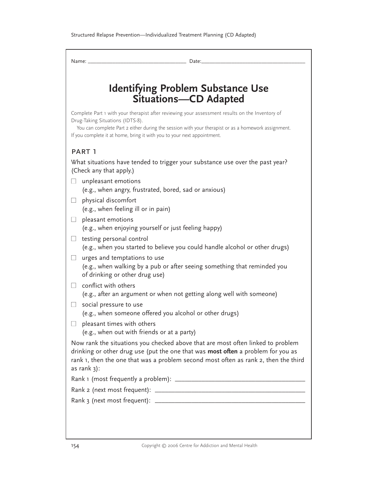| Name: .       | Date:                                                                                                                                                                                                                                                                                                                |
|---------------|----------------------------------------------------------------------------------------------------------------------------------------------------------------------------------------------------------------------------------------------------------------------------------------------------------------------|
|               | <b>Identifying Problem Substance Use</b><br><b>Situations-CD Adapted</b>                                                                                                                                                                                                                                             |
|               | Complete Part 1 with your therapist after reviewing your assessment results on the Inventory of<br>Drug-Taking Situations (IDTS-8).<br>You can complete Part 2 either during the session with your therapist or as a homework assignment.<br>If you complete it at home, bring it with you to your next appointment. |
| PART 1        |                                                                                                                                                                                                                                                                                                                      |
|               | What situations have tended to trigger your substance use over the past year?<br>(Check any that apply.)                                                                                                                                                                                                             |
|               | unpleasant emotions<br>(e.g., when angry, frustrated, bored, sad or anxious)<br>physical discomfort                                                                                                                                                                                                                  |
|               | (e.g., when feeling ill or in pain)                                                                                                                                                                                                                                                                                  |
|               | pleasant emotions<br>(e.g., when enjoying yourself or just feeling happy)                                                                                                                                                                                                                                            |
|               | testing personal control<br>(e.g., when you started to believe you could handle alcohol or other drugs)                                                                                                                                                                                                              |
| $\Box$        | urges and temptations to use<br>(e.g., when walking by a pub or after seeing something that reminded you<br>of drinking or other drug use)                                                                                                                                                                           |
|               | conflict with others                                                                                                                                                                                                                                                                                                 |
|               | (e.g., after an argument or when not getting along well with someone)                                                                                                                                                                                                                                                |
|               | social pressure to use<br>(e.g., when someone offered you alcohol or other drugs)                                                                                                                                                                                                                                    |
|               | pleasant times with others<br>(e.g., when out with friends or at a party)                                                                                                                                                                                                                                            |
| as rank $3$ : | Now rank the situations you checked above that are most often linked to problem<br>drinking or other drug use (put the one that was most often a problem for you as<br>rank 1, then the one that was a problem second most often as rank 2, then the third                                                           |
|               |                                                                                                                                                                                                                                                                                                                      |
|               |                                                                                                                                                                                                                                                                                                                      |
|               |                                                                                                                                                                                                                                                                                                                      |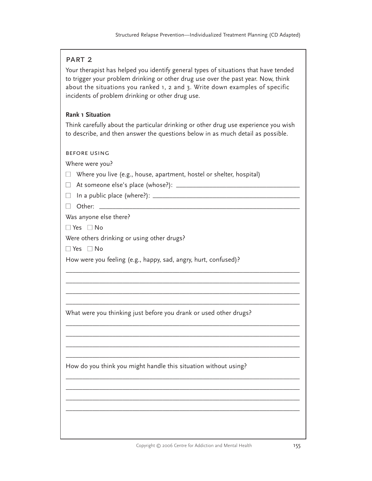## part 2

Your therapist has helped you identify general types of situations that have tended to trigger your problem drinking or other drug use over the past year. Now, think about the situations you ranked 1, 2 and 3. Write down examples of specific incidents of problem drinking or other drug use.

## **Rank 1 Situation**

Think carefully about the particular drinking or other drug use experience you wish to describe, and then answer the questions below in as much detail as possible.

\_\_\_\_\_\_\_\_\_\_\_\_\_\_\_\_\_\_\_\_\_\_\_\_\_\_\_\_\_\_\_\_\_\_\_\_\_\_\_\_\_\_\_\_\_\_\_\_\_\_\_\_\_\_\_\_\_\_\_\_\_\_\_\_\_\_\_\_\_\_ \_\_\_\_\_\_\_\_\_\_\_\_\_\_\_\_\_\_\_\_\_\_\_\_\_\_\_\_\_\_\_\_\_\_\_\_\_\_\_\_\_\_\_\_\_\_\_\_\_\_\_\_\_\_\_\_\_\_\_\_\_\_\_\_\_\_\_\_\_\_ \_\_\_\_\_\_\_\_\_\_\_\_\_\_\_\_\_\_\_\_\_\_\_\_\_\_\_\_\_\_\_\_\_\_\_\_\_\_\_\_\_\_\_\_\_\_\_\_\_\_\_\_\_\_\_\_\_\_\_\_\_\_\_\_\_\_\_\_\_\_ \_\_\_\_\_\_\_\_\_\_\_\_\_\_\_\_\_\_\_\_\_\_\_\_\_\_\_\_\_\_\_\_\_\_\_\_\_\_\_\_\_\_\_\_\_\_\_\_\_\_\_\_\_\_\_\_\_\_\_\_\_\_\_\_\_\_\_\_\_\_

\_\_\_\_\_\_\_\_\_\_\_\_\_\_\_\_\_\_\_\_\_\_\_\_\_\_\_\_\_\_\_\_\_\_\_\_\_\_\_\_\_\_\_\_\_\_\_\_\_\_\_\_\_\_\_\_\_\_\_\_\_\_\_\_\_\_\_\_\_\_ \_\_\_\_\_\_\_\_\_\_\_\_\_\_\_\_\_\_\_\_\_\_\_\_\_\_\_\_\_\_\_\_\_\_\_\_\_\_\_\_\_\_\_\_\_\_\_\_\_\_\_\_\_\_\_\_\_\_\_\_\_\_\_\_\_\_\_\_\_\_ \_\_\_\_\_\_\_\_\_\_\_\_\_\_\_\_\_\_\_\_\_\_\_\_\_\_\_\_\_\_\_\_\_\_\_\_\_\_\_\_\_\_\_\_\_\_\_\_\_\_\_\_\_\_\_\_\_\_\_\_\_\_\_\_\_\_\_\_\_\_ \_\_\_\_\_\_\_\_\_\_\_\_\_\_\_\_\_\_\_\_\_\_\_\_\_\_\_\_\_\_\_\_\_\_\_\_\_\_\_\_\_\_\_\_\_\_\_\_\_\_\_\_\_\_\_\_\_\_\_\_\_\_\_\_\_\_\_\_\_\_

\_\_\_\_\_\_\_\_\_\_\_\_\_\_\_\_\_\_\_\_\_\_\_\_\_\_\_\_\_\_\_\_\_\_\_\_\_\_\_\_\_\_\_\_\_\_\_\_\_\_\_\_\_\_\_\_\_\_\_\_\_\_\_\_\_\_\_\_\_\_ \_\_\_\_\_\_\_\_\_\_\_\_\_\_\_\_\_\_\_\_\_\_\_\_\_\_\_\_\_\_\_\_\_\_\_\_\_\_\_\_\_\_\_\_\_\_\_\_\_\_\_\_\_\_\_\_\_\_\_\_\_\_\_\_\_\_\_\_\_\_ \_\_\_\_\_\_\_\_\_\_\_\_\_\_\_\_\_\_\_\_\_\_\_\_\_\_\_\_\_\_\_\_\_\_\_\_\_\_\_\_\_\_\_\_\_\_\_\_\_\_\_\_\_\_\_\_\_\_\_\_\_\_\_\_\_\_\_\_\_\_ \_\_\_\_\_\_\_\_\_\_\_\_\_\_\_\_\_\_\_\_\_\_\_\_\_\_\_\_\_\_\_\_\_\_\_\_\_\_\_\_\_\_\_\_\_\_\_\_\_\_\_\_\_\_\_\_\_\_\_\_\_\_\_\_\_\_\_\_\_\_

before using

Where were you?

- $\Box$  Where you live (e.g., house, apartment, hostel or shelter, hospital)
- At someone else's place (whose?): \_\_\_\_\_\_\_\_\_\_\_\_\_\_\_\_\_\_\_\_\_\_\_\_\_\_\_\_\_\_\_\_\_\_\_\_\_
- In a public place (where?): \_\_\_\_\_\_\_\_\_\_\_\_\_\_\_\_\_\_\_\_\_\_\_\_\_\_\_\_\_\_\_\_\_\_\_\_\_\_\_\_\_\_\_\_
- Other: \_\_\_\_\_\_\_\_\_\_\_\_\_\_\_\_\_\_\_\_\_\_\_\_\_\_\_\_\_\_\_\_\_\_\_\_\_\_\_\_\_\_\_\_\_\_\_\_\_\_\_\_\_\_\_\_\_\_\_\_

Was anyone else there?

■ Yes ■ No

Were others drinking or using other drugs?

 $\Box$  Yes  $\Box$  No

How were you feeling (e.g., happy, sad, angry, hurt, confused)?

What were you thinking just before you drank or used other drugs?

How do you think you might handle this situation without using?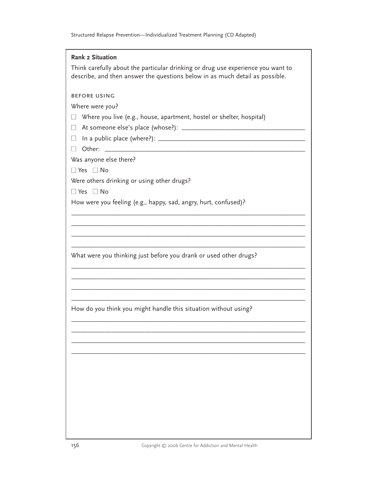| <b>Rank 2 Situation</b><br>Think carefully about the particular drinking or drug use experience you want to<br>describe, and then answer the questions below in as much detail as possible. |
|---------------------------------------------------------------------------------------------------------------------------------------------------------------------------------------------|
| <b>BEFORE USING</b><br>Where were you?<br>Where you live (e.g., house, apartment, hostel or shelter, hospital)<br>$\mathbf{L}$<br>$\Box$<br>$\Box$ Other:                                   |
| Was anyone else there?<br>$\Box$ Yes $\Box$ No<br>Were others drinking or using other drugs?<br>$\Box$ Yes $\Box$ No                                                                        |
| How were you feeling (e.g., happy, sad, angry, hurt, confused)?                                                                                                                             |
| What were you thinking just before you drank or used other drugs?                                                                                                                           |
| How do you think you might handle this situation without using?                                                                                                                             |
|                                                                                                                                                                                             |
|                                                                                                                                                                                             |
|                                                                                                                                                                                             |